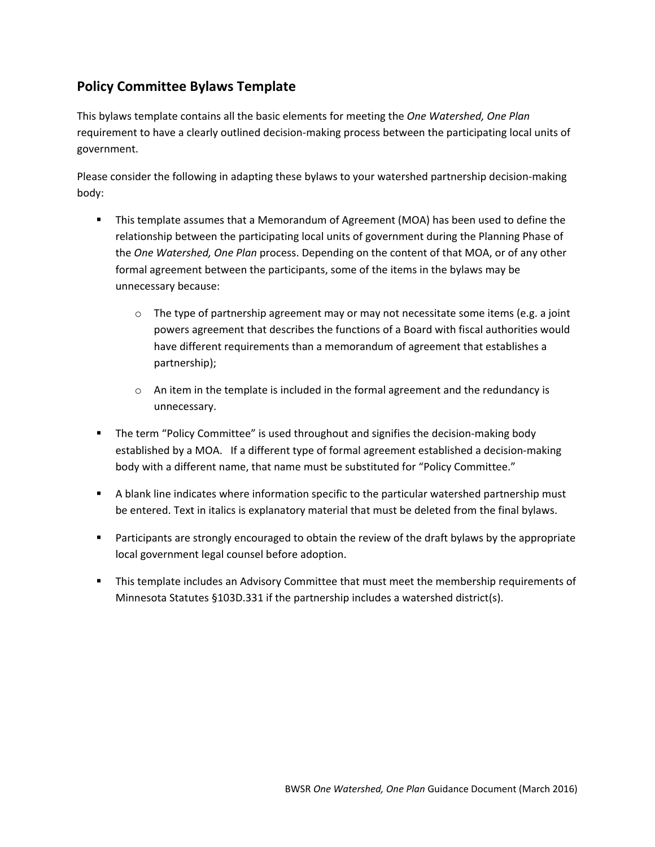# **Policy Committee Bylaws Template**

This bylaws template contains all the basic elements for meeting the *One Watershed, One Plan* requirement to have a clearly outlined decision-making process between the participating local units of government.

Please consider the following in adapting these bylaws to your watershed partnership decision-making body:

- This template assumes that a Memorandum of Agreement (MOA) has been used to define the relationship between the participating local units of government during the Planning Phase of the *One Watershed, One Plan* process. Depending on the content of that MOA, or of any other formal agreement between the participants, some of the items in the bylaws may be unnecessary because:
	- $\circ$  The type of partnership agreement may or may not necessitate some items (e.g. a joint powers agreement that describes the functions of a Board with fiscal authorities would have different requirements than a memorandum of agreement that establishes a partnership);
	- $\circ$  An item in the template is included in the formal agreement and the redundancy is unnecessary.
- **The term "Policy Committee" is used throughout and signifies the decision-making body** established by a MOA. If a different type of formal agreement established a decision-making body with a different name, that name must be substituted for "Policy Committee."
- A blank line indicates where information specific to the particular watershed partnership must be entered. Text in italics is explanatory material that must be deleted from the final bylaws.
- **Participants are strongly encouraged to obtain the review of the draft bylaws by the appropriate** local government legal counsel before adoption.
- **This template includes an Advisory Committee that must meet the membership requirements of** Minnesota Statutes §103D.331 if the partnership includes a watershed district(s).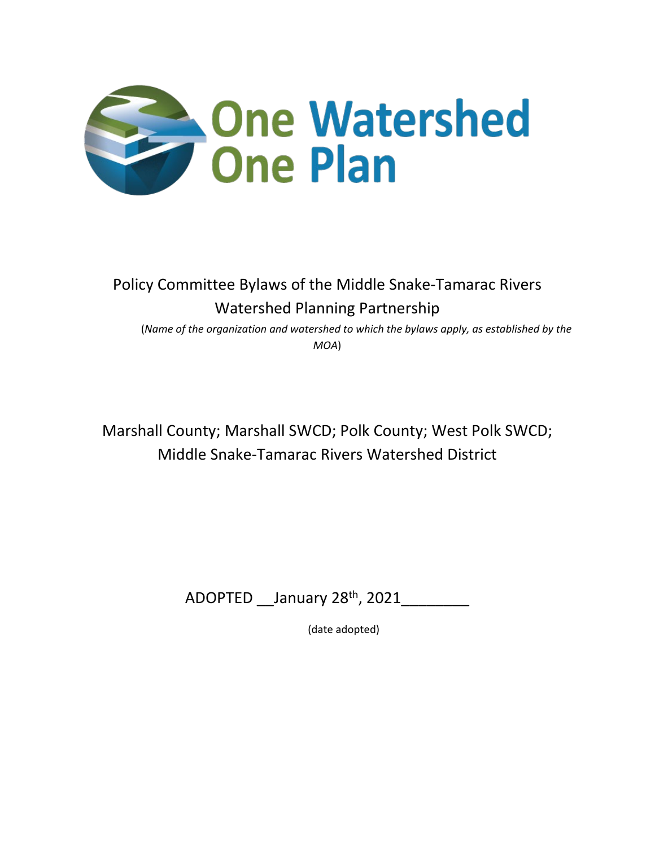

# Policy Committee Bylaws of the Middle Snake-Tamarac Rivers Watershed Planning Partnership

 (*Name of the organization and watershed to which the bylaws apply, as established by the MOA*)

Marshall County; Marshall SWCD; Polk County; West Polk SWCD; Middle Snake-Tamarac Rivers Watershed District

ADOPTED January 28<sup>th</sup>, 2021

(date adopted)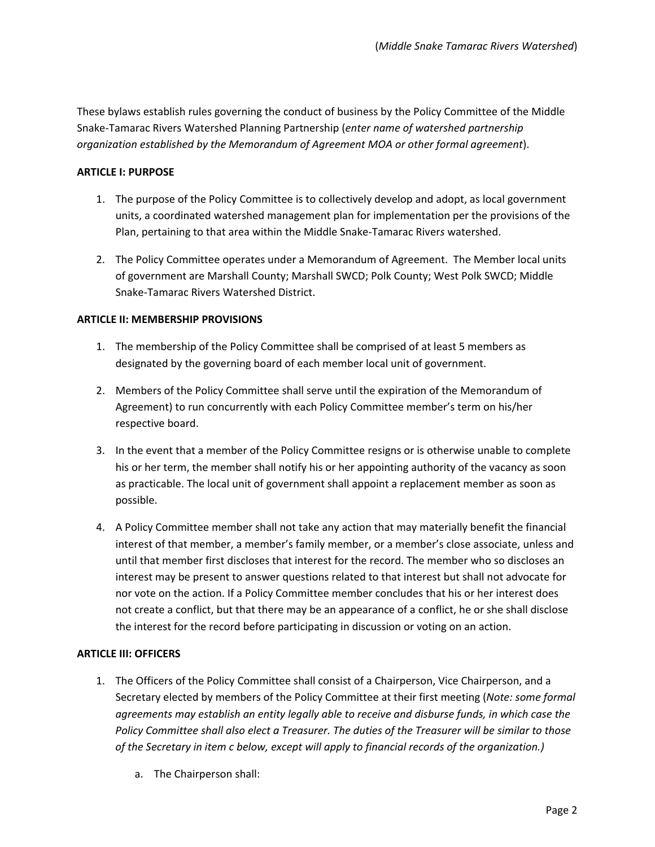These bylaws establish rules governing the conduct of business by the Policy Committee of the Middle Snake-Tamarac Rivers Watershed Planning Partnership (*enter name of watershed partnership organization established by the Memorandum of Agreement MOA or other formal agreement*).

### **ARTICLE I: PURPOSE**

- 1. The purpose of the Policy Committee is to collectively develop and adopt, as local government units, a coordinated watershed management plan for implementation per the provisions of the Plan, pertaining to that area within the Middle Snake-Tamarac River*s* watershed.
- 2. The Policy Committee operates under a Memorandum of Agreement. The Member local units of government are Marshall County; Marshall SWCD; Polk County; West Polk SWCD; Middle Snake-Tamarac Rivers Watershed District.

#### **ARTICLE II: MEMBERSHIP PROVISIONS**

- 1. The membership of the Policy Committee shall be comprised of at least 5 members as designated by the governing board of each member local unit of government.
- 2. Members of the Policy Committee shall serve until the expiration of the Memorandum of Agreement) to run concurrently with each Policy Committee member's term on his/her respective board.
- 3. In the event that a member of the Policy Committee resigns or is otherwise unable to complete his or her term, the member shall notify his or her appointing authority of the vacancy as soon as practicable. The local unit of government shall appoint a replacement member as soon as possible.
- 4. A Policy Committee member shall not take any action that may materially benefit the financial interest of that member, a member's family member, or a member's close associate, unless and until that member first discloses that interest for the record. The member who so discloses an interest may be present to answer questions related to that interest but shall not advocate for nor vote on the action. If a Policy Committee member concludes that his or her interest does not create a conflict, but that there may be an appearance of a conflict, he or she shall disclose the interest for the record before participating in discussion or voting on an action.

# **ARTICLE III: OFFICERS**

- 1. The Officers of the Policy Committee shall consist of a Chairperson, Vice Chairperson, and a Secretary elected by members of the Policy Committee at their first meeting (*Note: some formal agreements may establish an entity legally able to receive and disburse funds, in which case the Policy Committee shall also elect a Treasurer. The duties of the Treasurer will be similar to those of the Secretary in item c below, except will apply to financial records of the organization.)*
	- a. The Chairperson shall: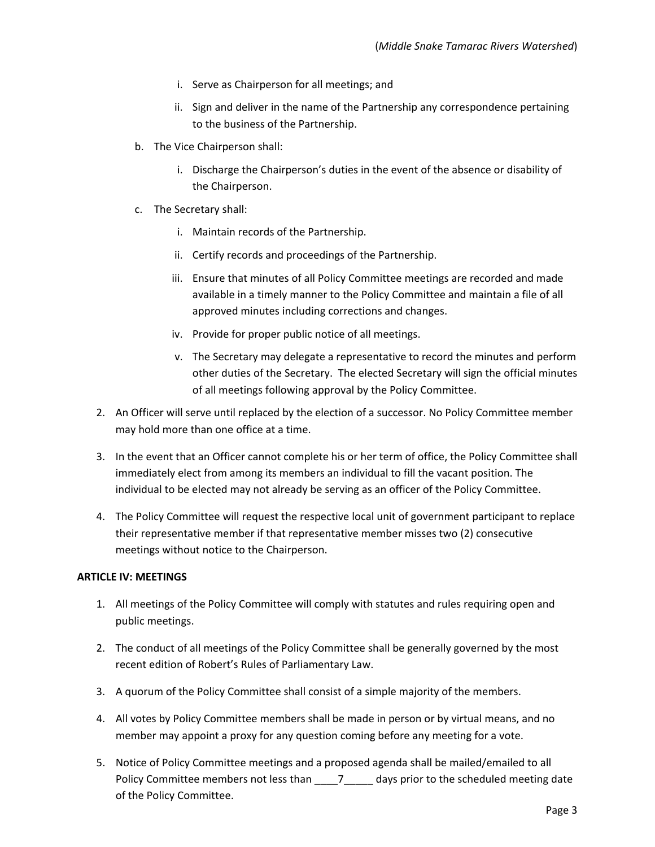- i. Serve as Chairperson for all meetings; and
- ii. Sign and deliver in the name of the Partnership any correspondence pertaining to the business of the Partnership.
- b. The Vice Chairperson shall:
	- i. Discharge the Chairperson's duties in the event of the absence or disability of the Chairperson.
- c. The Secretary shall:
	- i. Maintain records of the Partnership.
	- ii. Certify records and proceedings of the Partnership.
	- iii. Ensure that minutes of all Policy Committee meetings are recorded and made available in a timely manner to the Policy Committee and maintain a file of all approved minutes including corrections and changes.
	- iv. Provide for proper public notice of all meetings.
	- v. The Secretary may delegate a representative to record the minutes and perform other duties of the Secretary. The elected Secretary will sign the official minutes of all meetings following approval by the Policy Committee.
- 2. An Officer will serve until replaced by the election of a successor. No Policy Committee member may hold more than one office at a time.
- 3. In the event that an Officer cannot complete his or her term of office, the Policy Committee shall immediately elect from among its members an individual to fill the vacant position. The individual to be elected may not already be serving as an officer of the Policy Committee.
- 4. The Policy Committee will request the respective local unit of government participant to replace their representative member if that representative member misses two (2) consecutive meetings without notice to the Chairperson.

#### **ARTICLE IV: MEETINGS**

- 1. All meetings of the Policy Committee will comply with statutes and rules requiring open and public meetings.
- 2. The conduct of all meetings of the Policy Committee shall be generally governed by the most recent edition of Robert's Rules of Parliamentary Law.
- 3. A quorum of the Policy Committee shall consist of a simple majority of the members.
- 4. All votes by Policy Committee members shall be made in person or by virtual means, and no member may appoint a proxy for any question coming before any meeting for a vote.
- 5. Notice of Policy Committee meetings and a proposed agenda shall be mailed/emailed to all Policy Committee members not less than \_\_\_\_7\_\_\_\_\_ days prior to the scheduled meeting date of the Policy Committee.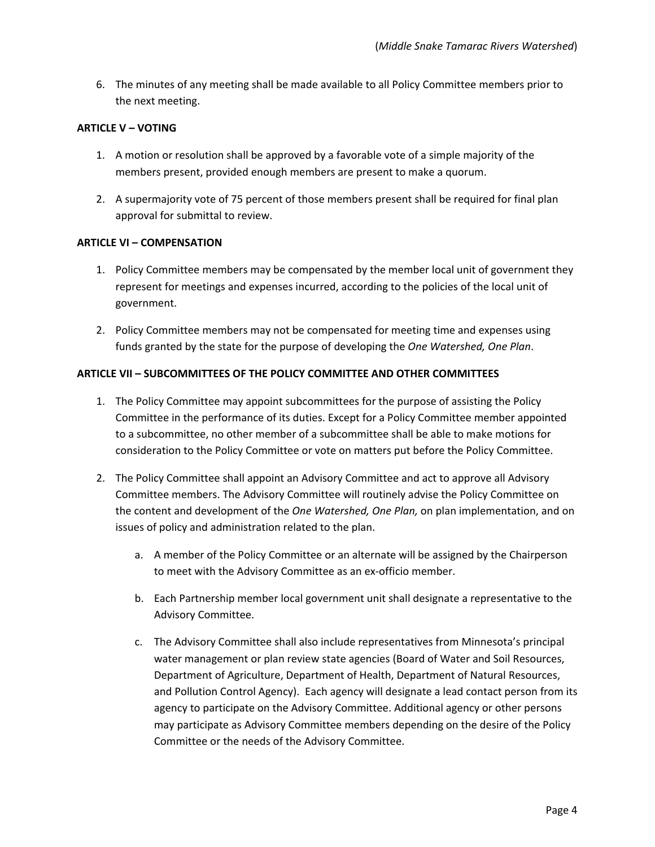6. The minutes of any meeting shall be made available to all Policy Committee members prior to the next meeting.

#### **ARTICLE V – VOTING**

- 1. A motion or resolution shall be approved by a favorable vote of a simple majority of the members present, provided enough members are present to make a quorum.
- 2. A supermajority vote of 75 percent of those members present shall be required for final plan approval for submittal to review.

#### **ARTICLE VI – COMPENSATION**

- 1. Policy Committee members may be compensated by the member local unit of government they represent for meetings and expenses incurred, according to the policies of the local unit of government.
- 2. Policy Committee members may not be compensated for meeting time and expenses using funds granted by the state for the purpose of developing the *One Watershed, One Plan*.

#### **ARTICLE VII – SUBCOMMITTEES OF THE POLICY COMMITTEE AND OTHER COMMITTEES**

- 1. The Policy Committee may appoint subcommittees for the purpose of assisting the Policy Committee in the performance of its duties. Except for a Policy Committee member appointed to a subcommittee, no other member of a subcommittee shall be able to make motions for consideration to the Policy Committee or vote on matters put before the Policy Committee.
- 2. The Policy Committee shall appoint an Advisory Committee and act to approve all Advisory Committee members. The Advisory Committee will routinely advise the Policy Committee on the content and development of the *One Watershed, One Plan,* on plan implementation, and on issues of policy and administration related to the plan.
	- a. A member of the Policy Committee or an alternate will be assigned by the Chairperson to meet with the Advisory Committee as an ex-officio member.
	- b. Each Partnership member local government unit shall designate a representative to the Advisory Committee.
	- c. The Advisory Committee shall also include representatives from Minnesota's principal water management or plan review state agencies (Board of Water and Soil Resources, Department of Agriculture, Department of Health, Department of Natural Resources, and Pollution Control Agency). Each agency will designate a lead contact person from its agency to participate on the Advisory Committee. Additional agency or other persons may participate as Advisory Committee members depending on the desire of the Policy Committee or the needs of the Advisory Committee.